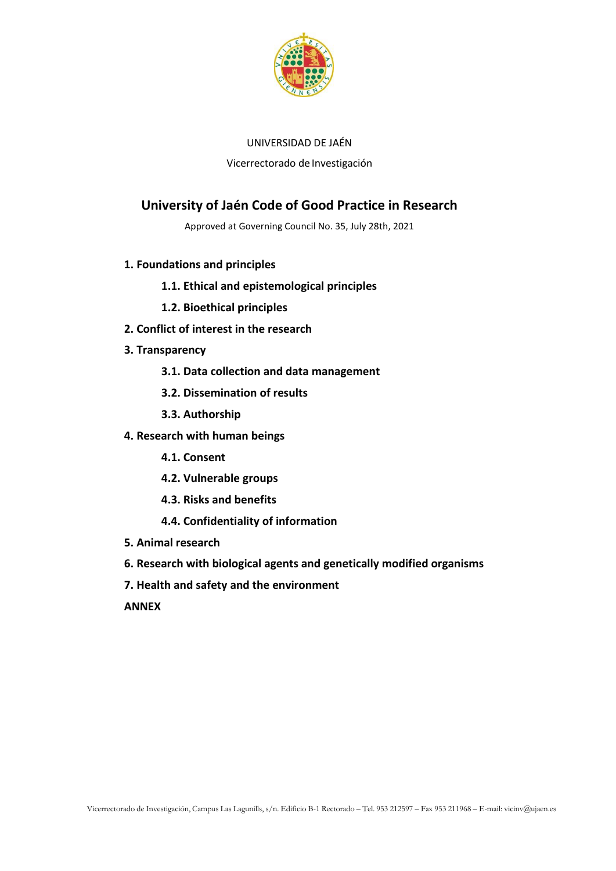

## UNIVERSIDAD DE JAÉN

Vicerrectorado de Investigación

# **University of Jaén Code of Good Practice in Research**

Approved at Governing Council No. 35, July 28th, 2021

- **1. Foundations and principles**
	- **1.1. Ethical and epistemological principles**
	- **1.2. Bioethical principles**
- **2. Conflict of interest in the research**
- **3. Transparency**
	- **3.1. Data collection and data management**
	- **3.2. Dissemination of results**
	- **3.3. Authorship**
- **4. Research with human beings**
	- **4.1. Consent**
	- **4.2. Vulnerable groups**
	- **4.3. Risks and benefits**
	- **4.4. Confidentiality of information**
- **5. Animal research**
- **6. Research with biological agents and genetically modified organisms**
- **7. Health and safety and the environment**

**ANNEX**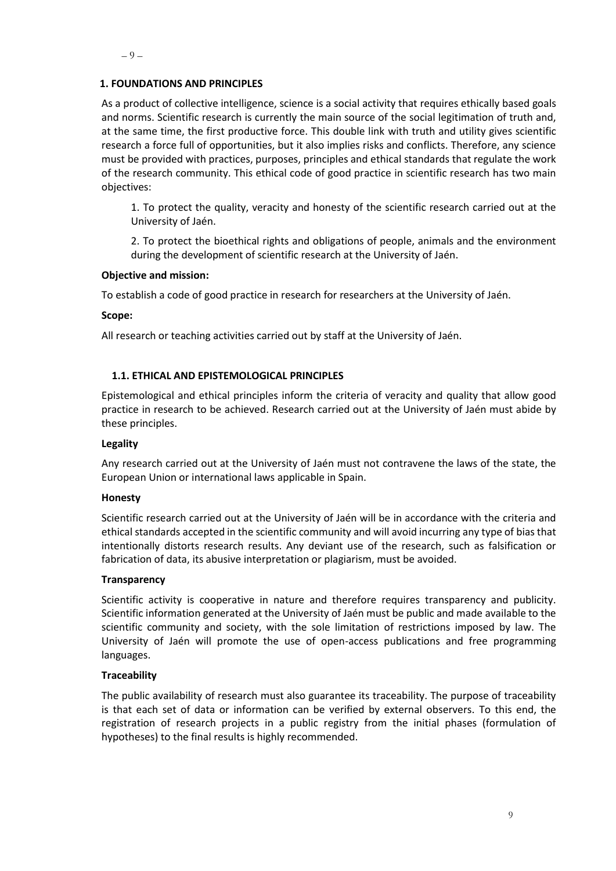### **1. FOUNDATIONS AND PRINCIPLES**

As a product of collective intelligence, science is a social activity that requires ethically based goals and norms. Scientific research is currently the main source of the social legitimation of truth and, at the same time, the first productive force. This double link with truth and utility gives scientific research a force full of opportunities, but it also implies risks and conflicts. Therefore, any science must be provided with practices, purposes, principles and ethical standards that regulate the work of the research community. This ethical code of good practice in scientific research has two main objectives:

1. To protect the quality, veracity and honesty of the scientific research carried out at the University of Jaén.

2. To protect the bioethical rights and obligations of people, animals and the environment during the development of scientific research at the University of Jaén.

### **Objective and mission:**

To establish a code of good practice in research for researchers at the University of Jaén.

**Scope:**

All research or teaching activities carried out by staff at the University of Jaén.

### **1.1. ETHICAL AND EPISTEMOLOGICAL PRINCIPLES**

Epistemological and ethical principles inform the criteria of veracity and quality that allow good practice in research to be achieved. Research carried out at the University of Jaén must abide by these principles.

### **Legality**

Any research carried out at the University of Jaén must not contravene the laws of the state, the European Union or international laws applicable in Spain.

### **Honesty**

Scientific research carried out at the University of Jaén will be in accordance with the criteria and ethical standards accepted in the scientific community and will avoid incurring any type of bias that intentionally distorts research results. Any deviant use of the research, such as falsification or fabrication of data, its abusive interpretation or plagiarism, must be avoided.

### **Transparency**

Scientific activity is cooperative in nature and therefore requires transparency and publicity. Scientific information generated at the University of Jaén must be public and made available to the scientific community and society, with the sole limitation of restrictions imposed by law. The University of Jaén will promote the use of open-access publications and free programming languages.

### **Traceability**

The public availability of research must also guarantee its traceability. The purpose of traceability is that each set of data or information can be verified by external observers. To this end, the registration of research projects in a public registry from the initial phases (formulation of hypotheses) to the final results is highly recommended.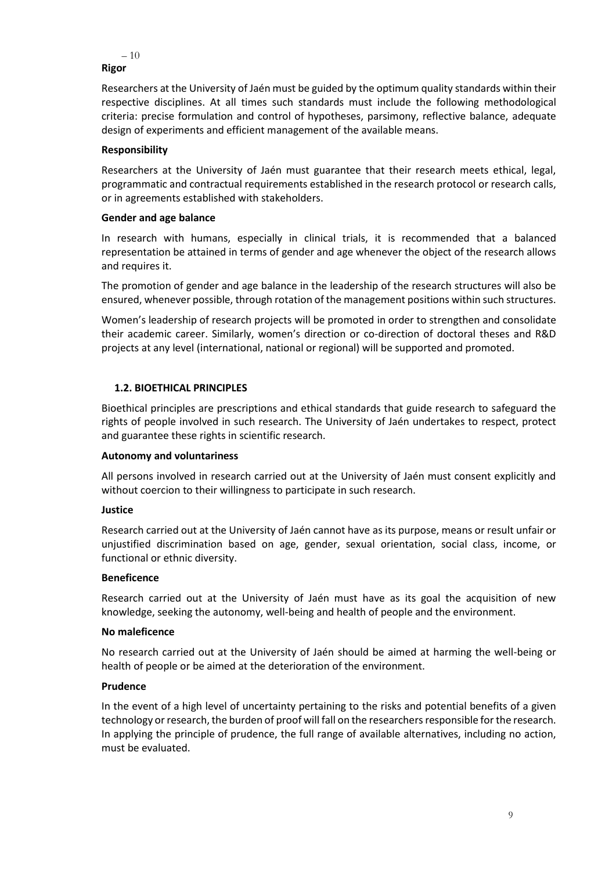```
-10–
Rigor
```
Researchers at the University of Jaén must be guided by the optimum quality standards within their respective disciplines. At all times such standards must include the following methodological criteria: precise formulation and control of hypotheses, parsimony, reflective balance, adequate design of experiments and efficient management of the available means.

# **Responsibility**

Researchers at the University of Jaén must guarantee that their research meets ethical, legal, programmatic and contractual requirements established in the research protocol or research calls, or in agreements established with stakeholders.

# **Gender and age balance**

In research with humans, especially in clinical trials, it is recommended that a balanced representation be attained in terms of gender and age whenever the object of the research allows and requires it.

The promotion of gender and age balance in the leadership of the research structures will also be ensured, whenever possible, through rotation of the management positions within such structures.

Women's leadership of research projects will be promoted in order to strengthen and consolidate their academic career. Similarly, women's direction or co-direction of doctoral theses and R&D projects at any level (international, national or regional) will be supported and promoted.

# **1.2. BIOETHICAL PRINCIPLES**

Bioethical principles are prescriptions and ethical standards that guide research to safeguard the rights of people involved in such research. The University of Jaén undertakes to respect, protect and guarantee these rights in scientific research.

# **Autonomy and voluntariness**

All persons involved in research carried out at the University of Jaén must consent explicitly and without coercion to their willingness to participate in such research.

# **Justice**

Research carried out at the University of Jaén cannot have as its purpose, means or result unfair or unjustified discrimination based on age, gender, sexual orientation, social class, income, or functional or ethnic diversity.

# **Beneficence**

Research carried out at the University of Jaén must have as its goal the acquisition of new knowledge, seeking the autonomy, well-being and health of people and the environment.

# **No maleficence**

No research carried out at the University of Jaén should be aimed at harming the well-being or health of people or be aimed at the deterioration of the environment.

# **Prudence**

In the event of a high level of uncertainty pertaining to the risks and potential benefits of a given technology or research, the burden of proof will fall on the researchers responsible for the research. In applying the principle of prudence, the full range of available alternatives, including no action, must be evaluated.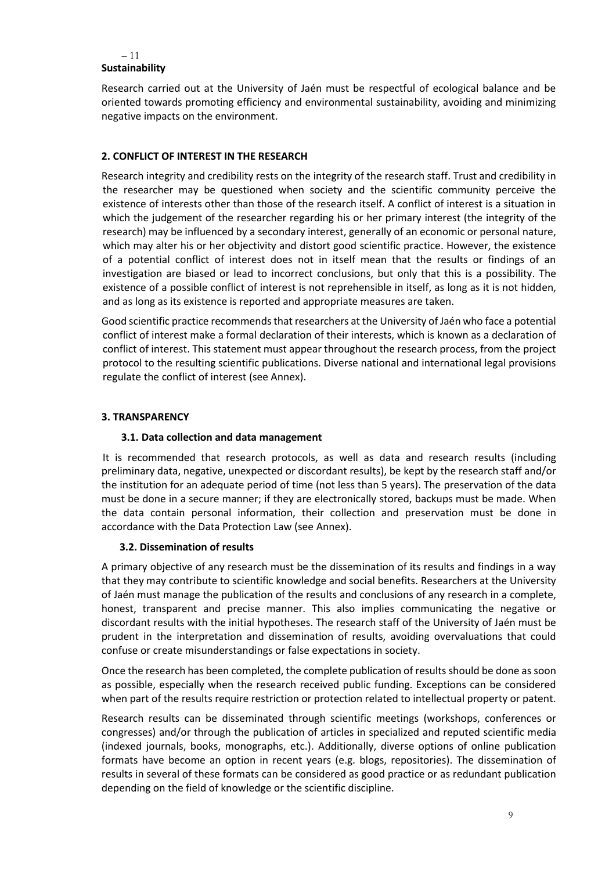### – 11 – **Sustainability**

Research carried out at the University of Jaén must be respectful of ecological balance and be oriented towards promoting efficiency and environmental sustainability, avoiding and minimizing negative impacts on the environment.

# **2. CONFLICT OF INTEREST IN THE RESEARCH**

Research integrity and credibility rests on the integrity of the research staff. Trust and credibility in the researcher may be questioned when society and the scientific community perceive the existence of interests other than those of the research itself. A conflict of interest is a situation in which the judgement of the researcher regarding his or her primary interest (the integrity of the research) may be influenced by a secondary interest, generally of an economic or personal nature, which may alter his or her objectivity and distort good scientific practice. However, the existence of a potential conflict of interest does not in itself mean that the results or findings of an investigation are biased or lead to incorrect conclusions, but only that this is a possibility. The existence of a possible conflict of interest is not reprehensible in itself, as long as it is not hidden, and as long as its existence is reported and appropriate measures are taken.

Good scientific practice recommends that researchers at the University of Jaén who face a potential conflict of interest make a formal declaration of their interests, which is known as a declaration of conflict of interest. This statement must appear throughout the research process, from the project protocol to the resulting scientific publications. Diverse national and international legal provisions regulate the conflict of interest (see Annex).

# **3. TRANSPARENCY**

# **3.1. Data collection and data management**

It is recommended that research protocols, as well as data and research results (including preliminary data, negative, unexpected or discordant results), be kept by the research staff and/or the institution for an adequate period of time (not less than 5 years). The preservation of the data must be done in a secure manner; if they are electronically stored, backups must be made. When the data contain personal information, their collection and preservation must be done in accordance with the Data Protection Law (see Annex).

# **3.2. Dissemination of results**

A primary objective of any research must be the dissemination of its results and findings in a way that they may contribute to scientific knowledge and social benefits. Researchers at the University of Jaén must manage the publication of the results and conclusions of any research in a complete, honest, transparent and precise manner. This also implies communicating the negative or discordant results with the initial hypotheses. The research staff of the University of Jaén must be prudent in the interpretation and dissemination of results, avoiding overvaluations that could confuse or create misunderstandings or false expectations in society.

Once the research has been completed, the complete publication of results should be done as soon as possible, especially when the research received public funding. Exceptions can be considered when part of the results require restriction or protection related to intellectual property or patent.

Research results can be disseminated through scientific meetings (workshops, conferences or congresses) and/or through the publication of articles in specialized and reputed scientific media (indexed journals, books, monographs, etc.). Additionally, diverse options of online publication formats have become an option in recent years (e.g. blogs, repositories). The dissemination of results in several of these formats can be considered as good practice or as redundant publication depending on the field of knowledge or the scientific discipline.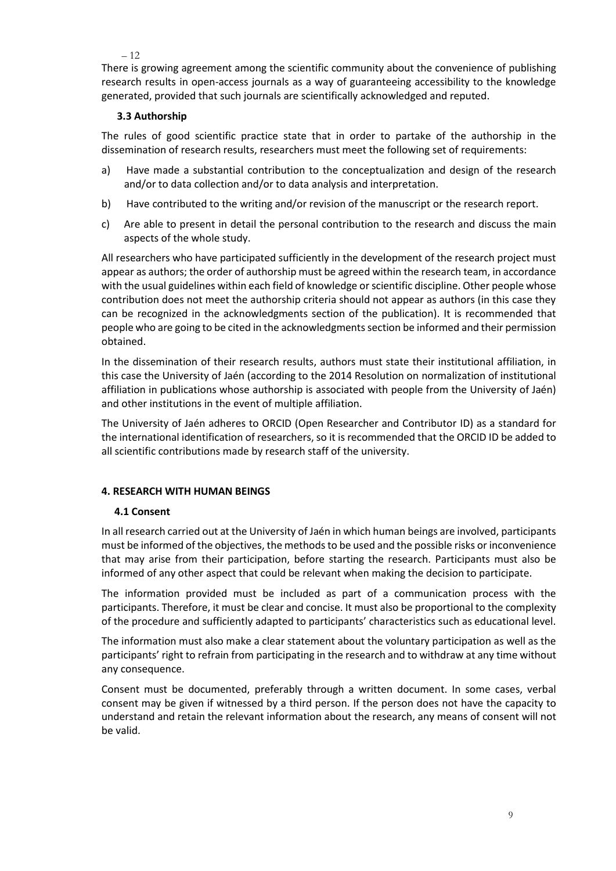#### – 12

– There is growing agreement among the scientific community about the convenience of publishing research results in open-access journals as a way of guaranteeing accessibility to the knowledge generated, provided that such journals are scientifically acknowledged and reputed.

# **3.3 Authorship**

The rules of good scientific practice state that in order to partake of the authorship in the dissemination of research results, researchers must meet the following set of requirements:

- a) Have made a substantial contribution to the conceptualization and design of the research and/or to data collection and/or to data analysis and interpretation.
- b) Have contributed to the writing and/or revision of the manuscript or the research report.
- c) Are able to present in detail the personal contribution to the research and discuss the main aspects of the whole study.

All researchers who have participated sufficiently in the development of the research project must appear as authors; the order of authorship must be agreed within the research team, in accordance with the usual guidelines within each field of knowledge or scientific discipline. Other people whose contribution does not meet the authorship criteria should not appear as authors (in this case they can be recognized in the acknowledgments section of the publication). It is recommended that people who are going to be cited in the acknowledgments section be informed and their permission obtained.

In the dissemination of their research results, authors must state their institutional affiliation, in this case the University of Jaén (according to the 2014 Resolution on normalization of institutional affiliation in publications whose authorship is associated with people from the University of Jaén) and other institutions in the event of multiple affiliation.

The University of Jaén adheres to ORCID (Open Researcher and Contributor ID) as a standard for the international identification of researchers, so it is recommended that the ORCID ID be added to all scientific contributions made by research staff of the university.

### **4. RESEARCH WITH HUMAN BEINGS**

# **4.1 Consent**

In all research carried out at the University of Jaén in which human beings are involved, participants must be informed of the objectives, the methods to be used and the possible risks or inconvenience that may arise from their participation, before starting the research. Participants must also be informed of any other aspect that could be relevant when making the decision to participate.

The information provided must be included as part of a communication process with the participants. Therefore, it must be clear and concise. It must also be proportional to the complexity of the procedure and sufficiently adapted to participants' characteristics such as educational level.

The information must also make a clear statement about the voluntary participation as well as the participants' right to refrain from participating in the research and to withdraw at any time without any consequence.

Consent must be documented, preferably through a written document. In some cases, verbal consent may be given if witnessed by a third person. If the person does not have the capacity to understand and retain the relevant information about the research, any means of consent will not be valid.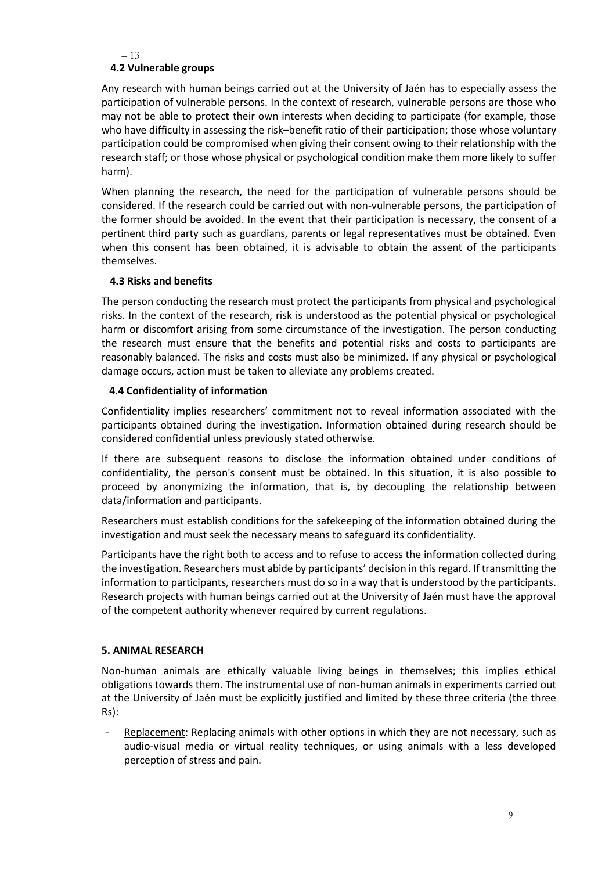– 13

# –  **4.2 Vulnerable groups**

Any research with human beings carried out at the University of Jaén has to especially assess the participation of vulnerable persons. In the context of research, vulnerable persons are those who may not be able to protect their own interests when deciding to participate (for example, those who have difficulty in assessing the risk–benefit ratio of their participation; those whose voluntary participation could be compromised when giving their consent owing to their relationship with the research staff; or those whose physical or psychological condition make them more likely to suffer harm).

When planning the research, the need for the participation of vulnerable persons should be considered. If the research could be carried out with non-vulnerable persons, the participation of the former should be avoided. In the event that their participation is necessary, the consent of a pertinent third party such as guardians, parents or legal representatives must be obtained. Even when this consent has been obtained, it is advisable to obtain the assent of the participants themselves.

# **4.3 Risks and benefits**

The person conducting the research must protect the participants from physical and psychological risks. In the context of the research, risk is understood as the potential physical or psychological harm or discomfort arising from some circumstance of the investigation. The person conducting the research must ensure that the benefits and potential risks and costs to participants are reasonably balanced. The risks and costs must also be minimized. If any physical or psychological damage occurs, action must be taken to alleviate any problems created.

### **4.4 Confidentiality of information**

Confidentiality implies researchers' commitment not to reveal information associated with the participants obtained during the investigation. Information obtained during research should be considered confidential unless previously stated otherwise.

If there are subsequent reasons to disclose the information obtained under conditions of confidentiality, the person's consent must be obtained. In this situation, it is also possible to proceed by anonymizing the information, that is, by decoupling the relationship between data/information and participants.

Researchers must establish conditions for the safekeeping of the information obtained during the investigation and must seek the necessary means to safeguard its confidentiality.

Participants have the right both to access and to refuse to access the information collected during the investigation. Researchers must abide by participants' decision in thisregard. If transmitting the information to participants, researchers must do so in a way that is understood by the participants. Research projects with human beings carried out at the University of Jaén must have the approval of the competent authority whenever required by current regulations.

# **5. ANIMAL RESEARCH**

Non-human animals are ethically valuable living beings in themselves; this implies ethical obligations towards them. The instrumental use of non-human animals in experiments carried out at the University of Jaén must be explicitly justified and limited by these three criteria (the three Rs):

Replacement: Replacing animals with other options in which they are not necessary, such as audio-visual media or virtual reality techniques, or using animals with a less developed perception of stress and pain.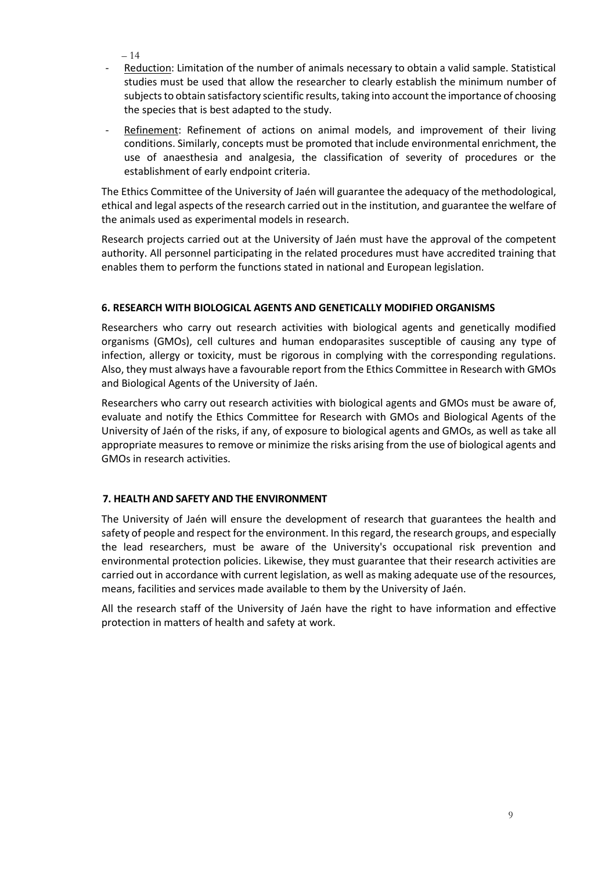– 14

- Reduction: Limitation of the number of animals necessary to obtain a valid sample. Statistical studies must be used that allow the researcher to clearly establish the minimum number of subjects to obtain satisfactory scientific results, taking into account the importance of choosing the species that is best adapted to the study.
- Refinement: Refinement of actions on animal models, and improvement of their living conditions. Similarly, concepts must be promoted that include environmental enrichment, the use of anaesthesia and analgesia, the classification of severity of procedures or the establishment of early endpoint criteria.

The Ethics Committee of the University of Jaén will guarantee the adequacy of the methodological, ethical and legal aspects of the research carried out in the institution, and guarantee the welfare of the animals used as experimental models in research.

Research projects carried out at the University of Jaén must have the approval of the competent authority. All personnel participating in the related procedures must have accredited training that enables them to perform the functions stated in national and European legislation.

# **6. RESEARCH WITH BIOLOGICAL AGENTS AND GENETICALLY MODIFIED ORGANISMS**

Researchers who carry out research activities with biological agents and genetically modified organisms (GMOs), cell cultures and human endoparasites susceptible of causing any type of infection, allergy or toxicity, must be rigorous in complying with the corresponding regulations. Also, they must always have a favourable report from the Ethics Committee in Research with GMOs and Biological Agents of the University of Jaén.

Researchers who carry out research activities with biological agents and GMOs must be aware of, evaluate and notify the Ethics Committee for Research with GMOs and Biological Agents of the University of Jaén of the risks, if any, of exposure to biological agents and GMOs, as well as take all appropriate measures to remove or minimize the risks arising from the use of biological agents and GMOs in research activities.

# **7. HEALTH AND SAFETY AND THE ENVIRONMENT**

The University of Jaén will ensure the development of research that guarantees the health and safety of people and respect for the environment. In this regard, the research groups, and especially the lead researchers, must be aware of the University's occupational risk prevention and environmental protection policies. Likewise, they must guarantee that their research activities are carried out in accordance with current legislation, as well as making adequate use of the resources, means, facilities and services made available to them by the University of Jaén.

All the research staff of the University of Jaén have the right to have information and effective protection in matters of health and safety at work.